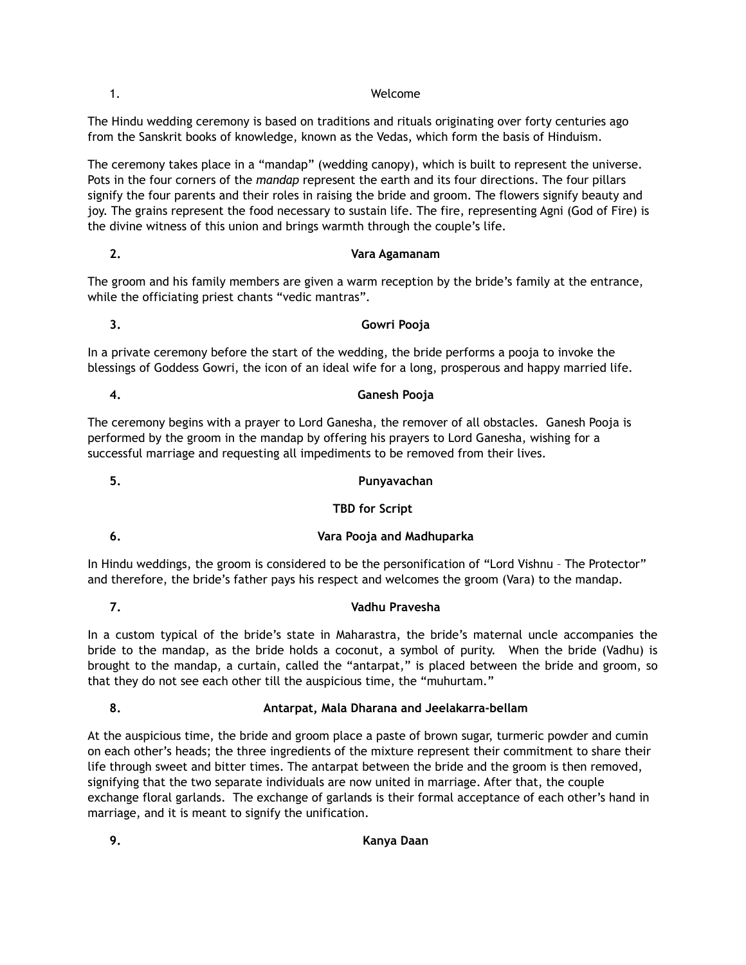### 1. Welcome

The Hindu wedding ceremony is based on traditions and rituals originating over forty centuries ago from the Sanskrit books of knowledge, known as the Vedas, which form the basis of Hinduism.

The ceremony takes place in a "mandap" (wedding canopy), which is built to represent the universe. Pots in the four corners of the *mandap* represent the earth and its four directions. The four pillars signify the four parents and their roles in raising the bride and groom. The flowers signify beauty and joy. The grains represent the food necessary to sustain life. The fire, representing Agni (God of Fire) is the divine witness of this union and brings warmth through the couple's life.

## **2. Vara Agamanam**

The groom and his family members are given a warm reception by the bride's family at the entrance, while the officiating priest chants "vedic mantras".

## **3. Gowri Pooja**

In a private ceremony before the start of the wedding, the bride performs a pooja to invoke the blessings of Goddess Gowri, the icon of an ideal wife for a long, prosperous and happy married life.

**4. Ganesh Pooja** 

The ceremony begins with a prayer to Lord Ganesha, the remover of all obstacles. Ganesh Pooja is performed by the groom in the mandap by offering his prayers to Lord Ganesha, wishing for a successful marriage and requesting all impediments to be removed from their lives.

# **5. Punyavachan**

# **TBD for Script**

# **6. Vara Pooja and Madhuparka**

In Hindu weddings, the groom is considered to be the personification of "Lord Vishnu – The Protector" and therefore, the bride's father pays his respect and welcomes the groom (Vara) to the mandap.

# **7. Vadhu Pravesha**

In a custom typical of the bride's state in Maharastra, the bride's maternal uncle accompanies the bride to the mandap, as the bride holds a coconut, a symbol of purity. When the bride (Vadhu) is brought to the mandap, a curtain, called the "antarpat," is placed between the bride and groom, so that they do not see each other till the auspicious time, the "muhurtam."

# **8. Antarpat, Mala Dharana and Jeelakarra-bellam**

At the auspicious time, the bride and groom place a paste of brown sugar, turmeric powder and cumin on each other's heads; the three ingredients of the mixture represent their commitment to share their life through sweet and bitter times. The antarpat between the bride and the groom is then removed, signifying that the two separate individuals are now united in marriage. After that, the couple exchange floral garlands. The exchange of garlands is their formal acceptance of each other's hand in marriage, and it is meant to signify the unification.

**9. Kanya Daan**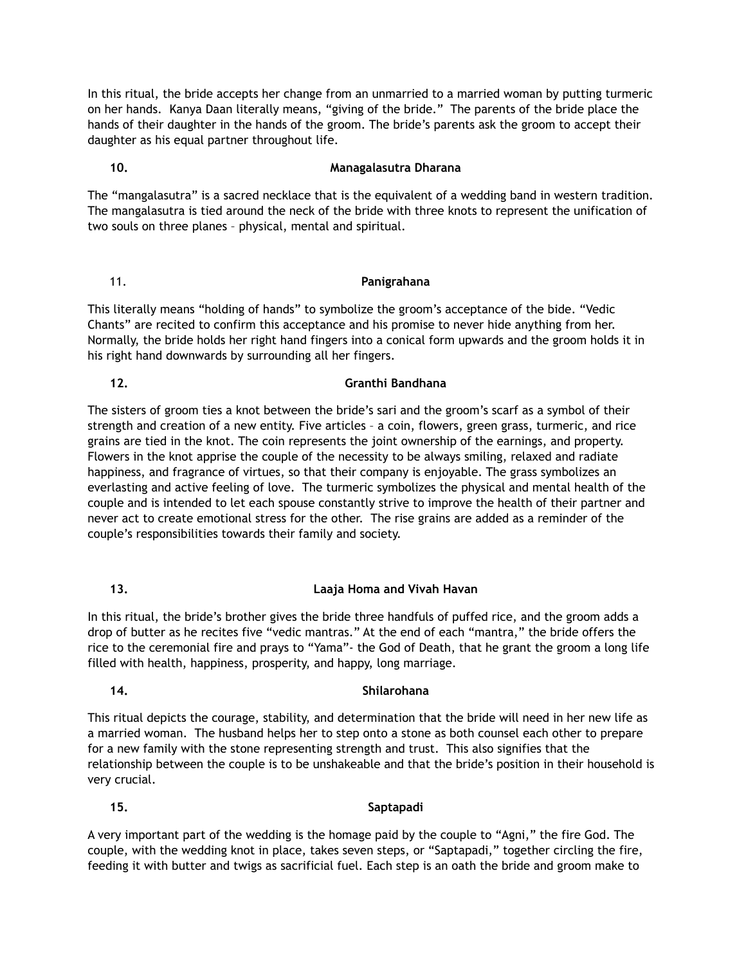In this ritual, the bride accepts her change from an unmarried to a married woman by putting turmeric on her hands. Kanya Daan literally means, "giving of the bride." The parents of the bride place the hands of their daughter in the hands of the groom. The bride's parents ask the groom to accept their daughter as his equal partner throughout life.

# **10. Managalasutra Dharana**

The "mangalasutra" is a sacred necklace that is the equivalent of a wedding band in western tradition. The mangalasutra is tied around the neck of the bride with three knots to represent the unification of two souls on three planes – physical, mental and spiritual.

## 11. **Panigrahana**

This literally means "holding of hands" to symbolize the groom's acceptance of the bide. "Vedic Chants" are recited to confirm this acceptance and his promise to never hide anything from her. Normally, the bride holds her right hand fingers into a conical form upwards and the groom holds it in his right hand downwards by surrounding all her fingers.

# **12. Granthi Bandhana**

The sisters of groom ties a knot between the bride's sari and the groom's scarf as a symbol of their strength and creation of a new entity. Five articles – a coin, flowers, green grass, turmeric, and rice grains are tied in the knot. The coin represents the joint ownership of the earnings, and property. Flowers in the knot apprise the couple of the necessity to be always smiling, relaxed and radiate happiness, and fragrance of virtues, so that their company is enjoyable. The grass symbolizes an everlasting and active feeling of love. The turmeric symbolizes the physical and mental health of the couple and is intended to let each spouse constantly strive to improve the health of their partner and never act to create emotional stress for the other. The rise grains are added as a reminder of the couple's responsibilities towards their family and society.

# **13. Laaja Homa and Vivah Havan**

In this ritual, the bride's brother gives the bride three handfuls of puffed rice, and the groom adds a drop of butter as he recites five "vedic mantras." At the end of each "mantra," the bride offers the rice to the ceremonial fire and prays to "Yama"- the God of Death, that he grant the groom a long life filled with health, happiness, prosperity, and happy, long marriage.

## **14. Shilarohana**

This ritual depicts the courage, stability, and determination that the bride will need in her new life as a married woman. The husband helps her to step onto a stone as both counsel each other to prepare for a new family with the stone representing strength and trust. This also signifies that the relationship between the couple is to be unshakeable and that the bride's position in their household is very crucial.

## **15. Saptapadi**

A very important part of the wedding is the homage paid by the couple to "Agni," the fire God. The couple, with the wedding knot in place, takes seven steps, or "Saptapadi," together circling the fire, feeding it with butter and twigs as sacrificial fuel. Each step is an oath the bride and groom make to